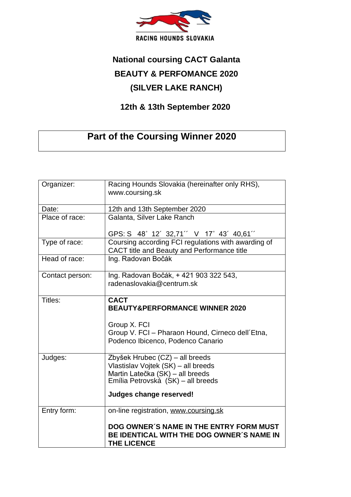

## **National coursing CACT Galanta BEAUTY & PERFOMANCE 2020 (SILVER LAKE RANCH)**

## **12th & 13th September 2020**

## **Part of the Coursing Winner 2020**

| Organizer:      | Racing Hounds Slovakia (hereinafter only RHS),<br>www.coursing.sk                                                                                |
|-----------------|--------------------------------------------------------------------------------------------------------------------------------------------------|
| Date:           | 12th and 13th September 2020                                                                                                                     |
| Place of race:  | Galanta, Silver Lake Ranch                                                                                                                       |
|                 | GPS: S 48° 12' 32,71" V 17° 43' 40,61"                                                                                                           |
| Type of race:   | Coursing according FCI regulations with awarding of<br>CACT title and Beauty and Performance title                                               |
| Head of race:   | Ing. Radovan Bočák                                                                                                                               |
| Contact person: | Ing. Radovan Bočák, + 421 903 322 543,<br>radenaslovakia@centrum.sk                                                                              |
| Titles:         | <b>CACT</b><br><b>BEAUTY&amp;PERFORMANCE WINNER 2020</b>                                                                                         |
|                 | Group X. FCI                                                                                                                                     |
|                 | Group V. FCI - Pharaon Hound, Cirneco dell'Etna,<br>Podenco Ibicenco, Podenco Canario                                                            |
| Judges:         | Zbyšek Hrubec (CZ) - all breeds<br>Vlastislav Vojtek (SK) - all breeds<br>Martin Latečka (SK) - all breeds<br>Emília Petrovská (SK) – all breeds |
|                 | Judges change reserved!                                                                                                                          |
| Entry form:     | on-line registration, www.coursing.sk                                                                                                            |
|                 | DOG OWNER'S NAME IN THE ENTRY FORM MUST<br>BE IDENTICAL WITH THE DOG OWNER'S NAME IN<br><b>THE LICENCE</b>                                       |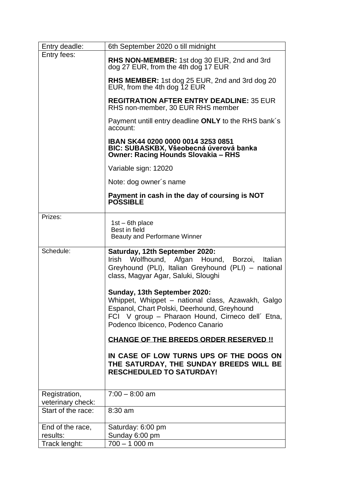| Entry deadle:                      | 6th September 2020 o till midnight                                                                                                              |
|------------------------------------|-------------------------------------------------------------------------------------------------------------------------------------------------|
| Entry fees:                        | RHS NON-MEMBER: 1st dog 30 EUR, 2nd and 3rd<br>dog 27 EUR, from the 4th dog 17 EUR                                                              |
|                                    | RHS MEMBER: 1st dog 25 EUR, 2nd and 3rd dog 20<br>EUR, from the 4th dog 12 EUR                                                                  |
|                                    | <b>REGITRATION AFTER ENTRY DEADLINE: 35 EUR</b><br>RHS non-member, 30 EUR RHS member                                                            |
|                                    | Payment untill entry deadline ONLY to the RHS bank's<br>account:                                                                                |
|                                    | IBAN SK44 0200 0000 0014 3253 0851<br>BIC: SUBASKBX, Všeobecná úverová banka<br><b>Owner: Racing Hounds Slovakia - RHS</b>                      |
|                                    | Variable sign: 12020                                                                                                                            |
|                                    | Note: dog owner's name                                                                                                                          |
|                                    | Payment in cash in the day of coursing is NOT<br><b>POSSIBLE</b>                                                                                |
| Prizes:                            |                                                                                                                                                 |
|                                    | $1st - 6th place$<br>Best in field<br>Beauty and Performane Winner                                                                              |
|                                    |                                                                                                                                                 |
| Schedule:                          | Saturday, 12th September 2020:<br>Wolfhound, Afgan<br>Irish<br>Hound, Borzoi,<br>Italian<br>Greyhound (PLI), Italian Greyhound (PLI) - national |
|                                    | class, Magyar Agar, Saluki, Sloughi                                                                                                             |
|                                    | Sunday, 13th September 2020:                                                                                                                    |
|                                    | Whippet, Whippet - national class, Azawakh, Galgo                                                                                               |
|                                    | Espanol, Chart Polski, Deerhound, Greyhound                                                                                                     |
|                                    | FCI V group - Pharaon Hound, Cirneco dell' Etna,<br>Podenco Ibicenco, Podenco Canario                                                           |
|                                    | <b>CHANGE OF THE BREEDS ORDER RESERVED !!</b>                                                                                                   |
|                                    | IN CASE OF LOW TURNS UPS OF THE DOGS ON<br>THE SATURDAY, THE SUNDAY BREEDS WILL BE<br><b>RESCHEDULED TO SATURDAY!</b>                           |
|                                    | $7:00 - 8:00$ am                                                                                                                                |
| Registration,<br>veterinary check: |                                                                                                                                                 |
| Start of the race:                 | 8:30 am                                                                                                                                         |
|                                    |                                                                                                                                                 |
| End of the race,<br>results:       | Saturday: 6:00 pm<br>Sunday 6:00 pm                                                                                                             |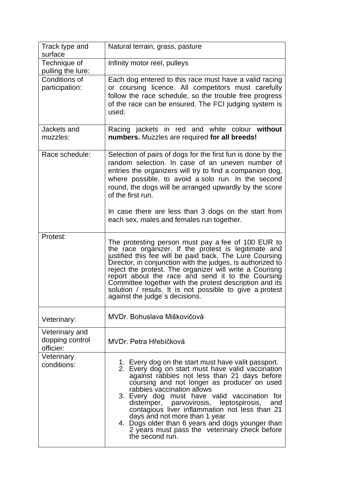| Track type and<br>surface                                                   | Natural terrain, grass, pasture                                                                                                                                                                                                                                                                                                                                                                                                                                                                                                                                              |
|-----------------------------------------------------------------------------|------------------------------------------------------------------------------------------------------------------------------------------------------------------------------------------------------------------------------------------------------------------------------------------------------------------------------------------------------------------------------------------------------------------------------------------------------------------------------------------------------------------------------------------------------------------------------|
| Technique of<br>pulling the lure:                                           | Infinity motor reel, pulleys                                                                                                                                                                                                                                                                                                                                                                                                                                                                                                                                                 |
| Conditions of<br>participation:                                             | Each dog entered to this race must have a valid racing<br>or coursing licence. All competitors must carefully<br>follow the race schedule, so the trouble free progress<br>of the race can be ensured. The FCI judging system is<br>used.                                                                                                                                                                                                                                                                                                                                    |
| Jackets and<br>muzzles:                                                     | Racing jackets in red and white colour without<br>numbers. Muzzles are required for all breeds!                                                                                                                                                                                                                                                                                                                                                                                                                                                                              |
| Race schedule:                                                              | Selection of pairs of dogs for the first fun is done by the<br>random selection. In case of an uneven number of<br>entries the organizers will try to find a companion dog,<br>where possible, to avoid a solo run. In the second<br>round, the dogs will be arranged upwardly by the score<br>of the first run.<br>In case there are less than 3 dogs on the start from<br>each sex, males and females run together.                                                                                                                                                        |
| Protest:                                                                    | The protesting person must pay a fee of 100 EUR to<br>the race organizer. If the protest is legitimate and<br>justified this fee will be paid back. The Lure Coursing<br>Director, in conjunction with the judges, is authorized to<br>reject the protest. The organizer will write a Courisng<br>report about the race and send it to the Coursing<br>Committee together with the protest description and its<br>solution / resuls. It is not possible to give a protest<br>against the judge's decisions.                                                                  |
| Veterinary:                                                                 | MVDr. Bohuslava Miškovičová                                                                                                                                                                                                                                                                                                                                                                                                                                                                                                                                                  |
| Veterinary and<br>dopping control<br>officier:<br>Veterinary<br>conditions: | MVDr. Petra Hřebíčková<br>1. Every dog on the start must have valit passport.<br>2. Every dog on start must have valid vaccination<br>against rabbies not less than 21 days before<br>coursing and not longer as producer on used<br>rabbies vaccination allows<br>3. Every dog must have valid vaccination for<br>distemper, parvovirosis, leptospirosis,<br>and<br>contagious liver inflammation not less than 21<br>days and not more than 1 year<br>4. Dogs older than 6 years and dogs younger than<br>2 years must pass the veterinary check before<br>the second run. |